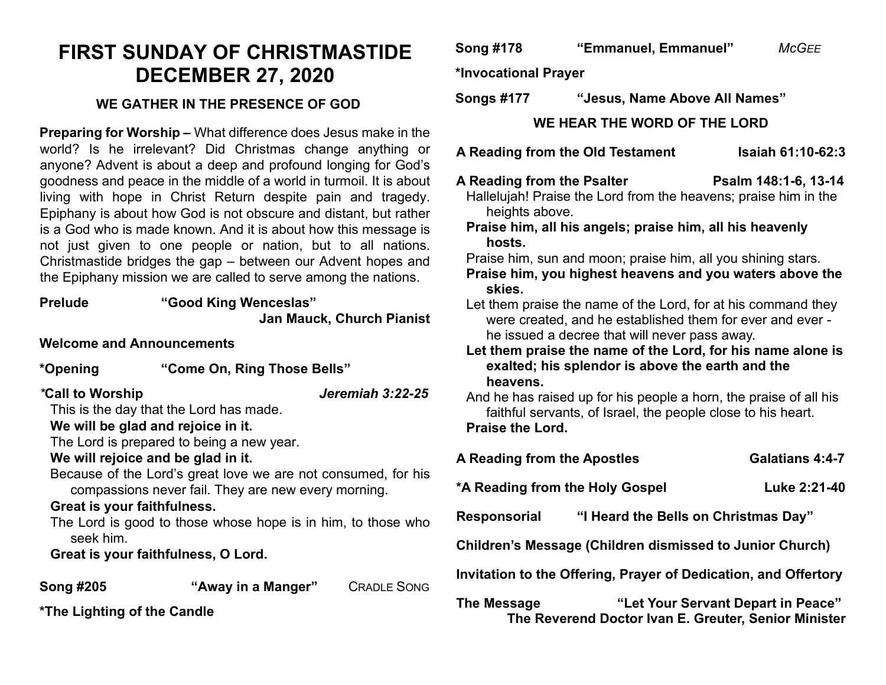### **FIRST SUNDAY OF CHRISTMASTIDE DECEMBER 27, 2020**

#### **WE GATHER IN THE PRESENCE OF GOD**

**Preparing for Worship –** What difference does Jesus make in the world? Is he irrelevant? Did Christmas change anything or anyone? Advent is about a deep and profound longing for God's goodness and peace in the middle of a world in turmoil. It is about living with hope in Christ Return despite pain and tragedy. Epiphany is about how God is not obscure and distant, but rather is a God who is made known. And it is about how this message is not just given to one people or nation, but to all nations. Christmastide bridges the gap – between our Advent hopes and the Epiphany mission we are called to serve among the nations.

| <b>Prelude</b>                   | "Good King Wenceslas"<br>Jan Mauck, Church Pianist                                                                                                                                   |  |  |
|----------------------------------|--------------------------------------------------------------------------------------------------------------------------------------------------------------------------------------|--|--|
| <b>Welcome and Announcements</b> |                                                                                                                                                                                      |  |  |
| *Opening                         | "Come On, Ring Those Bells"                                                                                                                                                          |  |  |
| *Call to Worship                 | Jeremiah 3:22-25<br>This is the day that the Lord has made.<br>We will be glad and rejoice in it.<br>The Lord is prepared to being a new year.<br>We will rejoice and be glad in it. |  |  |
| Great is your faithfulness.      | Because of the Lord's great love we are not consumed, for his<br>compassions never fail. They are new every morning.                                                                 |  |  |
| seek him.                        | The Lord is good to those whose hope is in him, to those who<br>Great is your faithfulness, O Lord.                                                                                  |  |  |
|                                  |                                                                                                                                                                                      |  |  |

**Song #205 "Away in a Manger"** CRADLE SONG

**\*The Lighting of the Candle**

#### **Song #178 "Emmanuel, Emmanuel"** *McGEE*

**\*Invocational Prayer** 

**Songs #177 "Jesus, Name Above All Names"**

**WE HEAR THE WORD OF THE LORD**

**A Reading from the Old Testament Isaiah 61:10-62:3**

## **A Reading from the Psalter Psalm 148:1-6, 13-14**

Hallelujah! Praise the Lord from the heavens; praise him in the heights above.

**Praise him, all his angels; praise him, all his heavenly hosts.**

Praise him, sun and moon; praise him, all you shining stars.

**Praise him, you highest heavens and you waters above the skies.**

Let them praise the name of the Lord, for at his command they were created, and he established them for ever and ever he issued a decree that will never pass away.

**Let them praise the name of the Lord, for his name alone is exalted; his splendor is above the earth and the heavens.**

And he has raised up for his people a horn, the praise of all his faithful servants, of Israel, the people close to his heart. **Praise the Lord.**

| A Reading from the Apostles                                     |                                      | Galatians 4:4-7                                                                            |  |
|-----------------------------------------------------------------|--------------------------------------|--------------------------------------------------------------------------------------------|--|
| *A Reading from the Holy Gospel                                 |                                      | Luke 2:21-40                                                                               |  |
| <b>Responsorial</b>                                             | "I Heard the Bells on Christmas Day" |                                                                                            |  |
| <b>Children's Message (Children dismissed to Junior Church)</b> |                                      |                                                                                            |  |
| Invitation to the Offering, Prayer of Dedication, and Offertory |                                      |                                                                                            |  |
| The Message                                                     |                                      | "Let Your Servant Depart in Peace"<br>The Reverend Doctor Ivan E. Greuter, Senior Minister |  |